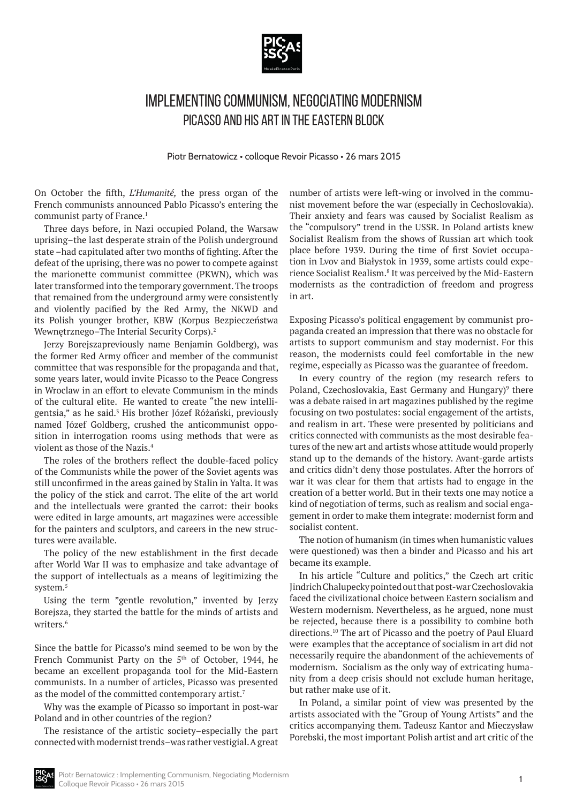

## Implementing Communism, Negociating Modernism Picasso and his Art in the Eastern Block

Piotr Bernatowicz • colloque Revoir Picasso • 26 mars 2015

On October the fifth, *L'Humanité,* the press organ of the French communists announced Pablo Picasso's entering the communist party of France.<sup>1</sup>

Three days before, in Nazi occupied Poland, the Warsaw uprising–the last desperate strain of the Polish underground state –had capitulated after two months of fighting. After the defeat of the uprising, there was no power to compete against the marionette communist committee (PKWN), which was later transformed into the temporary government. The troops that remained from the underground army were consistently and violently pacified by the Red Army, the NKWD and its Polish younger brother, KBW (Korpus Bezpieczeństwa Wewnętrznego–The Interial Security Corps).<sup>2</sup>

Jerzy Borejszapreviously name Benjamin Goldberg), was the former Red Army officer and member of the communist committee that was responsible for the propaganda and that, some years later, would invite Picasso to the Peace Congress in Wroclaw in an effort to elevate Communism in the minds of the cultural elite. He wanted to create "the new intelligentsia," as he said.<sup>3</sup> His brother Józef Różański, previously named Józef Goldberg, crushed the anticommunist opposition in interrogation rooms using methods that were as violent as those of the Nazis.<sup>4</sup>

The roles of the brothers reflect the double-faced policy of the Communists while the power of the Soviet agents was still unconfirmed in the areas gained by Stalin in Yalta. It was the policy of the stick and carrot. The elite of the art world and the intellectuals were granted the carrot: their books were edited in large amounts, art magazines were accessible for the painters and sculptors, and careers in the new structures were available.

The policy of the new establishment in the first decade after World War II was to emphasize and take advantage of the support of intellectuals as a means of legitimizing the system.<sup>5</sup>

Using the term "gentle revolution," invented by Jerzy Borejsza, they started the battle for the minds of artists and writers<sup>6</sup>

Since the battle for Picasso's mind seemed to be won by the French Communist Party on the  $5<sup>th</sup>$  of October, 1944, he became an excellent propaganda tool for the Mid-Eastern communists. In a number of articles, Picasso was presented as the model of the committed contemporary artist.<sup>7</sup>

Why was the example of Picasso so important in post-war Poland and in other countries of the region?

The resistance of the artistic society–especially the part connected with modernist trends–was rather vestigial. A great

number of artists were left-wing or involved in the communist movement before the war (especially in Cechoslovakia). Their anxiety and fears was caused by Socialist Realism as the "compulsory" trend in the USSR. In Poland artists knew Socialist Realism from the shows of Russian art which took place before 1939. During the time of first Soviet occupation in Lvov and Białystok in 1939, some artists could experience Socialist Realism.<sup>8</sup> It was perceived by the Mid-Eastern modernists as the contradiction of freedom and progress in art.

Exposing Picasso's political engagement by communist propaganda created an impression that there was no obstacle for artists to support communism and stay modernist. For this reason, the modernists could feel comfortable in the new regime, especially as Picasso was the guarantee of freedom.

In every country of the region (my research refers to Poland, Czechoslovakia, East Germany and Hungary)<sup>9</sup> there was a debate raised in art magazines published by the regime focusing on two postulates: social engagement of the artists, and realism in art. These were presented by politicians and critics connected with communists as the most desirable features of the new art and artists whose attitude would properly stand up to the demands of the history. Avant-garde artists and critics didn't deny those postulates. After the horrors of war it was clear for them that artists had to engage in the creation of a better world. But in their texts one may notice a kind of negotiation of terms, such as realism and social engagement in order to make them integrate: modernist form and socialist content.

The notion of humanism (in times when humanistic values were questioned) was then a binder and Picasso and his art became its example.

In his article "Culture and politics," the Czech art critic Jindrich Chalupecky pointed out that post-war Czechoslovakia faced the civilizational choice between Eastern socialism and Western modernism. Nevertheless, as he argued, none must be rejected, because there is a possibility to combine both directions.10 The art of Picasso and the poetry of Paul Eluard were examples that the acceptance of socialism in art did not necessarily require the abandonment of the achievements of modernism. Socialism as the only way of extricating humanity from a deep crisis should not exclude human heritage, but rather make use of it.

In Poland, a similar point of view was presented by the artists associated with the "Group of Young Artists" and the critics accompanying them. Tadeusz Kantor and Mieczysław Porebski, the most important Polish artist and art critic of the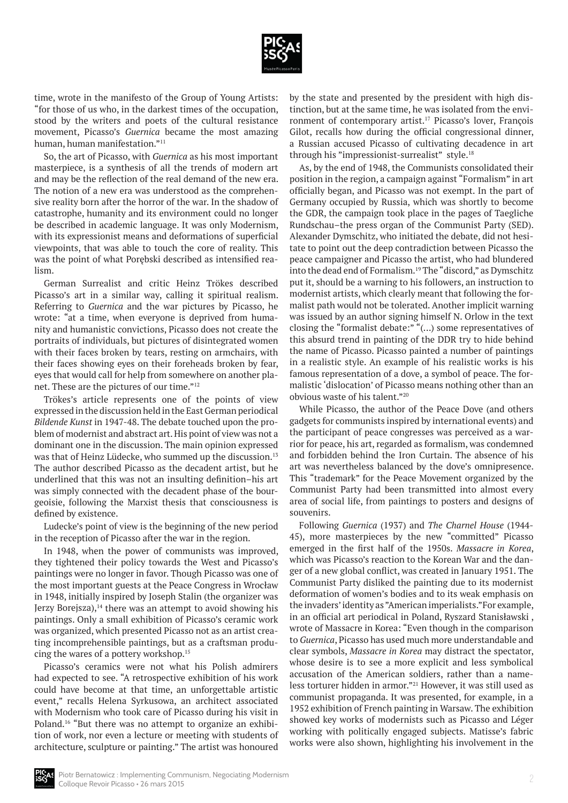

time, wrote in the manifesto of the Group of Young Artists: "for those of us who, in the darkest times of the occupation, stood by the writers and poets of the cultural resistance movement, Picasso's *Guernica* became the most amazing human, human manifestation."<sup>11</sup>

So, the art of Picasso, with *Guernica* as his most important masterpiece, is a synthesis of all the trends of modern art and may be the reflection of the real demand of the new era. The notion of a new era was understood as the comprehensive reality born after the horror of the war. In the shadow of catastrophe, humanity and its environment could no longer be described in academic language. It was only Modernism, with its expressionist means and deformations of superficial viewpoints, that was able to touch the core of reality. This was the point of what Porębski described as intensified realism.

German Surrealist and critic Heinz Trökes described Picasso's art in a similar way, calling it spiritual realism. Referring to *Guernica* and the war pictures by Picasso, he wrote: "at a time, when everyone is deprived from humanity and humanistic convictions, Picasso does not create the portraits of individuals, but pictures of disintegrated women with their faces broken by tears, resting on armchairs, with their faces showing eyes on their foreheads broken by fear, eyes that would call for help from somewhere on another planet. These are the pictures of our time."<sup>12</sup>

Trökes's article represents one of the points of view expressed in the discussion held in the East German periodical *Bildende Kunst* in 1947-48. The debate touched upon the problem of modernist and abstract art. His point of view was not a dominant one in the discussion. The main opinion expressed was that of Heinz Lüdecke, who summed up the discussion.<sup>13</sup> The author described Picasso as the decadent artist, but he underlined that this was not an insulting definition–his art was simply connected with the decadent phase of the bourgeoisie, following the Marxist thesis that consciousness is defined by existence.

Ludecke's point of view is the beginning of the new period in the reception of Picasso after the war in the region.

In 1948, when the power of communists was improved, they tightened their policy towards the West and Picasso's paintings were no longer in favor. Though Picasso was one of the most important guests at the Peace Congress in Wrocław in 1948, initially inspired by Joseph Stalin (the organizer was Jerzy Borejsza), $14$  there was an attempt to avoid showing his paintings. Only a small exhibition of Picasso's ceramic work was organized, which presented Picasso not as an artist creating incomprehensible paintings, but as a craftsman producing the wares of a pottery workshop.15

Picasso's ceramics were not what his Polish admirers had expected to see. "A retrospective exhibition of his work could have become at that time, an unforgettable artistic event," recalls Helena Syrkusowa, an architect associated with Modernism who took care of Picasso during his visit in Poland.<sup>16</sup> "But there was no attempt to organize an exhibition of work, nor even a lecture or meeting with students of architecture, sculpture or painting." The artist was honoured

by the state and presented by the president with high distinction, but at the same time, he was isolated from the environment of contemporary artist.<sup>17</sup> Picasso's lover, François Gilot, recalls how during the official congressional dinner, a Russian accused Picasso of cultivating decadence in art through his "impressionist-surrealist" style.<sup>18</sup>

As, by the end of 1948, the Communists consolidated their position in the region, a campaign against "Formalism" in art officially began, and Picasso was not exempt. In the part of Germany occupied by Russia, which was shortly to become the GDR, the campaign took place in the pages of Taegliche Rundschau–the press organ of the Communist Party (SED). Alexander Dymschitz, who initiated the debate, did not hesitate to point out the deep contradiction between Picasso the peace campaigner and Picasso the artist, who had blundered into the dead end of Formalism.19 The "discord," as Dymschitz put it, should be a warning to his followers, an instruction to modernist artists, which clearly meant that following the formalist path would not be tolerated. Another implicit warning was issued by an author signing himself N. Orlow in the text closing the "formalist debate:" "(...) some representatives of this absurd trend in painting of the DDR try to hide behind the name of Picasso. Picasso painted a number of paintings in a realistic style. An example of his realistic works is his famous representation of a dove, a symbol of peace. The formalistic 'dislocation' of Picasso means nothing other than an obvious waste of his talent."<sup>20</sup>

While Picasso, the author of the Peace Dove (and others gadgets for communists inspired by international events) and the participant of peace congresses was perceived as a warrior for peace, his art, regarded as formalism, was condemned and forbidden behind the Iron Curtain. The absence of his art was nevertheless balanced by the dove's omnipresence. This "trademark" for the Peace Movement organized by the Communist Party had been transmitted into almost every area of social life, from paintings to posters and designs of souvenirs.

Following *Guernica* (1937) and *The Charnel House* (1944- 45), more masterpieces by the new "committed" Picasso emerged in the first half of the 1950s. *Massacre in Korea*, which was Picasso's reaction to the Korean War and the danger of a new global conflict, was created in January 1951. The Communist Party disliked the painting due to its modernist deformation of women's bodies and to its weak emphasis on the invaders' identity as "American imperialists."For example, in an official art periodical in Poland, Ryszard Stanisławski , wrote of Massacre in Korea: "Even though in the comparison to *Guernica*, Picasso has used much more understandable and clear symbols, *Massacre in Korea* may distract the spectator, whose desire is to see a more explicit and less symbolical accusation of the American soldiers, rather than a nameless torturer hidden in armor."21 However, it was still used as communist propaganda. It was presented, for example, in a 1952 exhibition of French painting in Warsaw. The exhibition showed key works of modernists such as Picasso and Léger working with politically engaged subjects. Matisse's fabric works were also shown, highlighting his involvement in the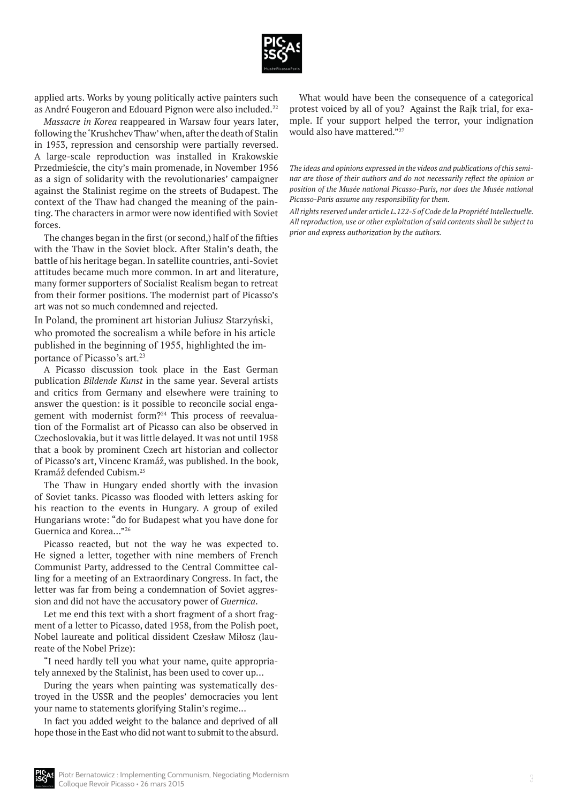

applied arts. Works by young politically active painters such as André Fougeron and Edouard Pignon were also included.<sup>22</sup>

*Massacre in Korea* reappeared in Warsaw four years later, following the 'Krushchev Thaw' when, after the death of Stalin in 1953, repression and censorship were partially reversed. A large-scale reproduction was installed in Krakowskie Przedmieście, the city's main promenade, in November 1956 as a sign of solidarity with the revolutionaries' campaigner against the Stalinist regime on the streets of Budapest. The context of the Thaw had changed the meaning of the painting. The characters in armor were now identified with Soviet forces.

The changes began in the first (or second,) half of the fifties with the Thaw in the Soviet block. After Stalin's death, the battle of his heritage began. In satellite countries, anti-Soviet attitudes became much more common. In art and literature, many former supporters of Socialist Realism began to retreat from their former positions. The modernist part of Picasso's art was not so much condemned and rejected.

In Poland, the prominent art historian Juliusz Starzyński, who promoted the socrealism a while before in his article published in the beginning of 1955, highlighted the importance of Picasso's art.<sup>23</sup>

A Picasso discussion took place in the East German publication *Bildende Kunst* in the same year. Several artists and critics from Germany and elsewhere were training to answer the question: is it possible to reconcile social engagement with modernist form?<sup>24</sup> This process of reevaluation of the Formalist art of Picasso can also be observed in Czechoslovakia, but it was little delayed. It was not until 1958 that a book by prominent Czech art historian and collector of Picasso's art, Vincenc Kramáž, was published. In the book, Kramáž defended Cubism.<sup>25</sup>

The Thaw in Hungary ended shortly with the invasion of Soviet tanks. Picasso was flooded with letters asking for his reaction to the events in Hungary. A group of exiled Hungarians wrote: "do for Budapest what you have done for Guernica and Korea…"<sup>26</sup>

Picasso reacted, but not the way he was expected to. He signed a letter, together with nine members of French Communist Party, addressed to the Central Committee calling for a meeting of an Extraordinary Congress. In fact, the letter was far from being a condemnation of Soviet aggression and did not have the accusatory power of *Guernica*.

Let me end this text with a short fragment of a short fragment of a letter to Picasso, dated 1958, from the Polish poet, Nobel laureate and political dissident Czesław Miłosz (laureate of the Nobel Prize):

"I need hardly tell you what your name, quite appropriately annexed by the Stalinist, has been used to cover up…

During the years when painting was systematically destroyed in the USSR and the peoples' democracies you lent your name to statements glorifying Stalin's regime…

In fact you added weight to the balance and deprived of all hope those in the East who did not want to submit to the absurd.

What would have been the consequence of a categorical protest voiced by all of you? Against the Rajk trial, for example. If your support helped the terror, your indignation would also have mattered."<sup>27</sup>

*The ideas and opinions expressed in the videos and publications of this seminar are those of their authors and do not necessarily reflect the opinion or position of the Musée national Picasso-Paris, nor does the Musée national Picasso-Paris assume any responsibility for them.* 

*All rights reserved under article L.122-5 of Code de la Propriété Intellectuelle. All reproduction, use or other exploitation of said contents shall be subject to prior and express authorization by the authors.*